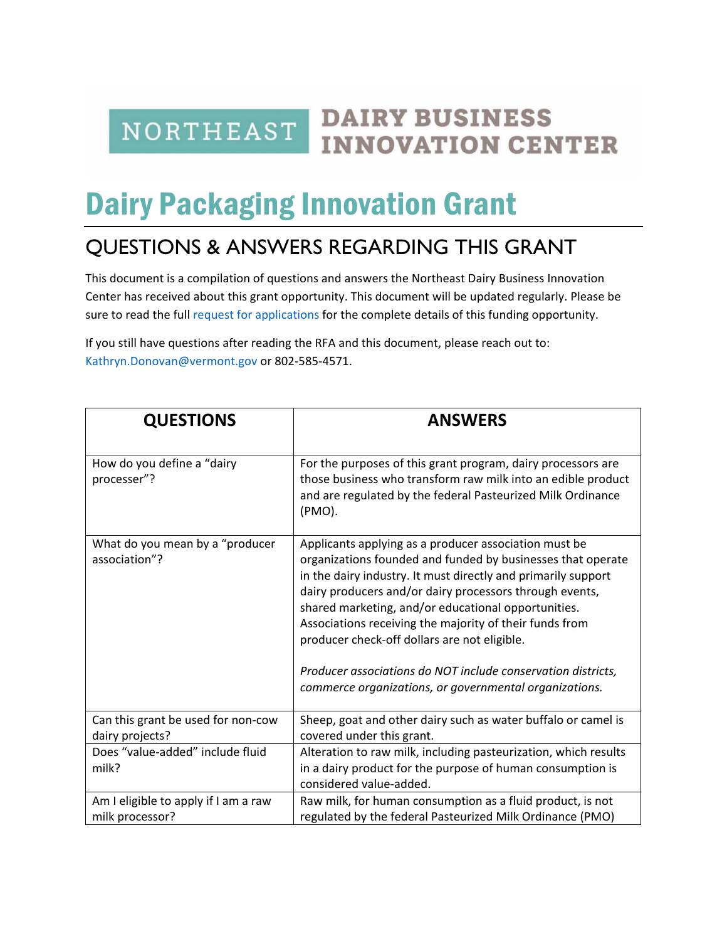**NORTHEAST** 

## **DAIRY BUSINESS INNOVATION CENTER**

## Dairy Packaging Innovation Grant

## QUESTIONS & ANSWERS REGARDING THIS GRANT

This document is a compilation of questions and answers the Northeast Dairy Business Innovation Center has received about this grant opportunity. This document will be updated regularly. Please be sure to read the full [request for applications](https://agriculture.vermont.gov/document/dairy-food-safety-certification-grant) for the complete details of this funding opportunity.

If you still have questions after reading the RFA and this document, please reach out to: [Kathryn.Donovan@vermont.gov](mailto:Kathryn.Donovan@vermont.gov) or 802-585-4571.

| <b>QUESTIONS</b>                                        | <b>ANSWERS</b>                                                                                                                                                                                                                                                                                                                                                                                                                                                                                                                               |  |
|---------------------------------------------------------|----------------------------------------------------------------------------------------------------------------------------------------------------------------------------------------------------------------------------------------------------------------------------------------------------------------------------------------------------------------------------------------------------------------------------------------------------------------------------------------------------------------------------------------------|--|
| How do you define a "dairy<br>processer"?               | For the purposes of this grant program, dairy processors are<br>those business who transform raw milk into an edible product<br>and are regulated by the federal Pasteurized Milk Ordinance<br>(PMO).                                                                                                                                                                                                                                                                                                                                        |  |
| What do you mean by a "producer<br>association"?        | Applicants applying as a producer association must be<br>organizations founded and funded by businesses that operate<br>in the dairy industry. It must directly and primarily support<br>dairy producers and/or dairy processors through events,<br>shared marketing, and/or educational opportunities.<br>Associations receiving the majority of their funds from<br>producer check-off dollars are not eligible.<br>Producer associations do NOT include conservation districts,<br>commerce organizations, or governmental organizations. |  |
| Can this grant be used for non-cow<br>dairy projects?   | Sheep, goat and other dairy such as water buffalo or camel is<br>covered under this grant.                                                                                                                                                                                                                                                                                                                                                                                                                                                   |  |
| Does "value-added" include fluid<br>milk?               | Alteration to raw milk, including pasteurization, which results<br>in a dairy product for the purpose of human consumption is<br>considered value-added.                                                                                                                                                                                                                                                                                                                                                                                     |  |
| Am I eligible to apply if I am a raw<br>milk processor? | Raw milk, for human consumption as a fluid product, is not<br>regulated by the federal Pasteurized Milk Ordinance (PMO)                                                                                                                                                                                                                                                                                                                                                                                                                      |  |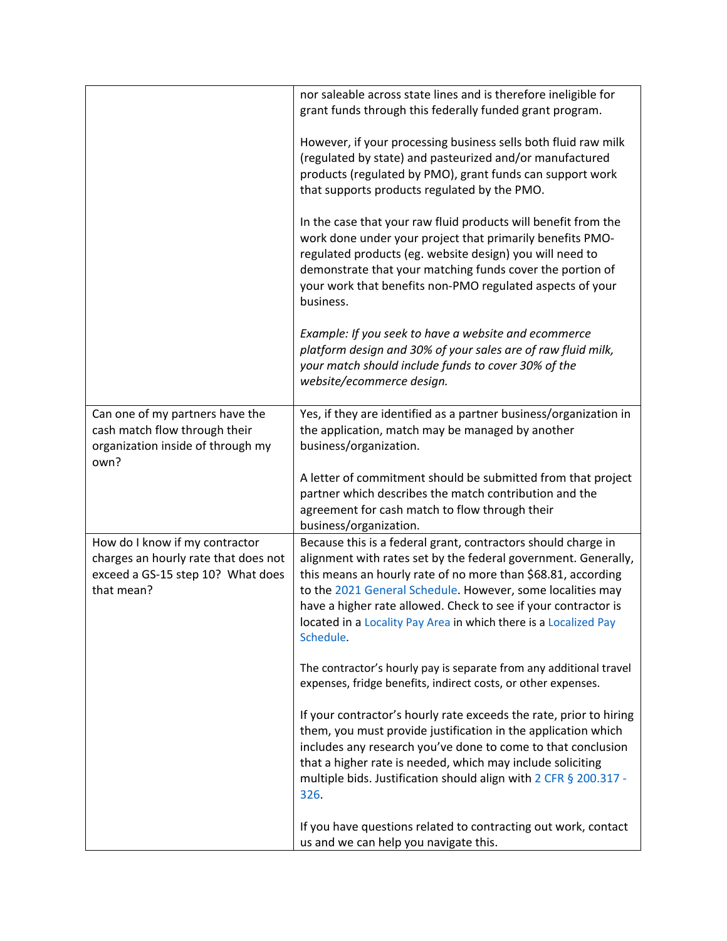|                                                                                                                           | nor saleable across state lines and is therefore ineligible for<br>grant funds through this federally funded grant program.                                                                                                                                                                                                                                                                                      |
|---------------------------------------------------------------------------------------------------------------------------|------------------------------------------------------------------------------------------------------------------------------------------------------------------------------------------------------------------------------------------------------------------------------------------------------------------------------------------------------------------------------------------------------------------|
|                                                                                                                           | However, if your processing business sells both fluid raw milk<br>(regulated by state) and pasteurized and/or manufactured<br>products (regulated by PMO), grant funds can support work<br>that supports products regulated by the PMO.                                                                                                                                                                          |
|                                                                                                                           | In the case that your raw fluid products will benefit from the<br>work done under your project that primarily benefits PMO-<br>regulated products (eg. website design) you will need to<br>demonstrate that your matching funds cover the portion of<br>your work that benefits non-PMO regulated aspects of your<br>business.                                                                                   |
|                                                                                                                           | Example: If you seek to have a website and ecommerce<br>platform design and 30% of your sales are of raw fluid milk,<br>your match should include funds to cover 30% of the<br>website/ecommerce design.                                                                                                                                                                                                         |
| Can one of my partners have the<br>cash match flow through their<br>organization inside of through my<br>own?             | Yes, if they are identified as a partner business/organization in<br>the application, match may be managed by another<br>business/organization.                                                                                                                                                                                                                                                                  |
|                                                                                                                           | A letter of commitment should be submitted from that project<br>partner which describes the match contribution and the<br>agreement for cash match to flow through their<br>business/organization.                                                                                                                                                                                                               |
| How do I know if my contractor<br>charges an hourly rate that does not<br>exceed a GS-15 step 10? What does<br>that mean? | Because this is a federal grant, contractors should charge in<br>alignment with rates set by the federal government. Generally,<br>this means an hourly rate of no more than \$68.81, according<br>to the 2021 General Schedule. However, some localities may<br>have a higher rate allowed. Check to see if your contractor is<br>located in a Locality Pay Area in which there is a Localized Pay<br>Schedule. |
|                                                                                                                           | The contractor's hourly pay is separate from any additional travel<br>expenses, fridge benefits, indirect costs, or other expenses.                                                                                                                                                                                                                                                                              |
|                                                                                                                           | If your contractor's hourly rate exceeds the rate, prior to hiring<br>them, you must provide justification in the application which<br>includes any research you've done to come to that conclusion<br>that a higher rate is needed, which may include soliciting<br>multiple bids. Justification should align with 2 CFR § 200.317 -<br>326.                                                                    |
|                                                                                                                           | If you have questions related to contracting out work, contact<br>us and we can help you navigate this.                                                                                                                                                                                                                                                                                                          |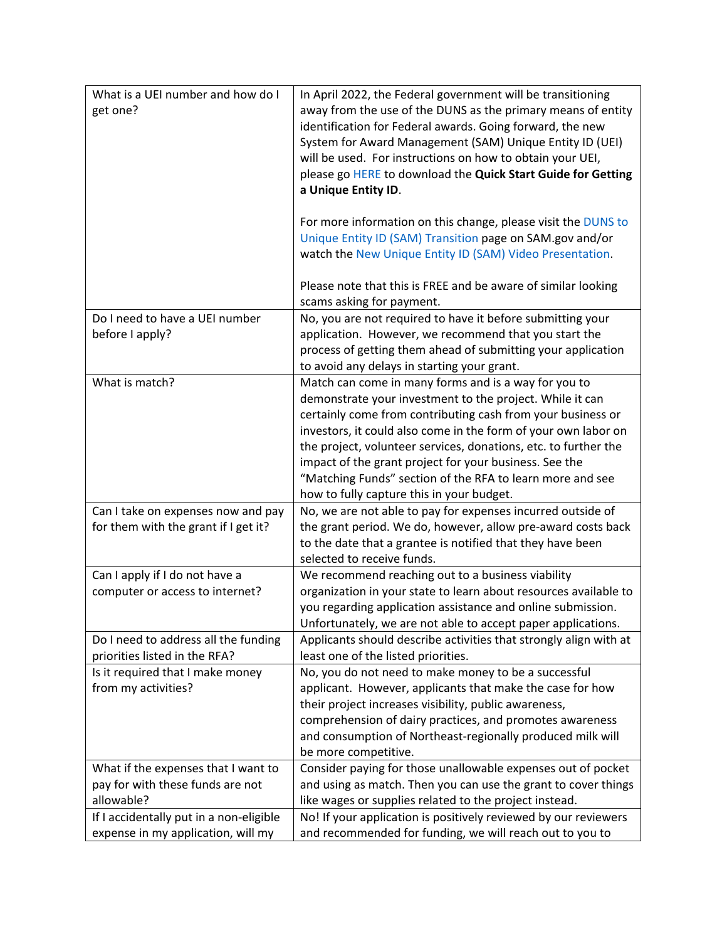| What is a UEI number and how do I<br>get one?                                         | In April 2022, the Federal government will be transitioning<br>away from the use of the DUNS as the primary means of entity<br>identification for Federal awards. Going forward, the new<br>System for Award Management (SAM) Unique Entity ID (UEI)<br>will be used. For instructions on how to obtain your UEI,<br>please go HERE to download the Quick Start Guide for Getting<br>a Unique Entity ID.<br>For more information on this change, please visit the DUNS to<br>Unique Entity ID (SAM) Transition page on SAM.gov and/or<br>watch the New Unique Entity ID (SAM) Video Presentation.<br>Please note that this is FREE and be aware of similar looking |
|---------------------------------------------------------------------------------------|--------------------------------------------------------------------------------------------------------------------------------------------------------------------------------------------------------------------------------------------------------------------------------------------------------------------------------------------------------------------------------------------------------------------------------------------------------------------------------------------------------------------------------------------------------------------------------------------------------------------------------------------------------------------|
|                                                                                       | scams asking for payment.                                                                                                                                                                                                                                                                                                                                                                                                                                                                                                                                                                                                                                          |
| Do I need to have a UEI number<br>before I apply?                                     | No, you are not required to have it before submitting your<br>application. However, we recommend that you start the<br>process of getting them ahead of submitting your application<br>to avoid any delays in starting your grant.                                                                                                                                                                                                                                                                                                                                                                                                                                 |
| What is match?                                                                        | Match can come in many forms and is a way for you to<br>demonstrate your investment to the project. While it can<br>certainly come from contributing cash from your business or<br>investors, it could also come in the form of your own labor on<br>the project, volunteer services, donations, etc. to further the<br>impact of the grant project for your business. See the<br>"Matching Funds" section of the RFA to learn more and see<br>how to fully capture this in your budget.                                                                                                                                                                           |
| Can I take on expenses now and pay<br>for them with the grant if I get it?            | No, we are not able to pay for expenses incurred outside of<br>the grant period. We do, however, allow pre-award costs back<br>to the date that a grantee is notified that they have been<br>selected to receive funds.                                                                                                                                                                                                                                                                                                                                                                                                                                            |
| Can I apply if I do not have a<br>computer or access to internet?                     | We recommend reaching out to a business viability<br>organization in your state to learn about resources available to<br>you regarding application assistance and online submission.<br>Unfortunately, we are not able to accept paper applications.                                                                                                                                                                                                                                                                                                                                                                                                               |
| Do I need to address all the funding<br>priorities listed in the RFA?                 | Applicants should describe activities that strongly align with at<br>least one of the listed priorities.                                                                                                                                                                                                                                                                                                                                                                                                                                                                                                                                                           |
| Is it required that I make money<br>from my activities?                               | No, you do not need to make money to be a successful<br>applicant. However, applicants that make the case for how<br>their project increases visibility, public awareness,<br>comprehension of dairy practices, and promotes awareness<br>and consumption of Northeast-regionally produced milk will<br>be more competitive.                                                                                                                                                                                                                                                                                                                                       |
| What if the expenses that I want to<br>pay for with these funds are not<br>allowable? | Consider paying for those unallowable expenses out of pocket<br>and using as match. Then you can use the grant to cover things<br>like wages or supplies related to the project instead.                                                                                                                                                                                                                                                                                                                                                                                                                                                                           |
| If I accidentally put in a non-eligible<br>expense in my application, will my         | No! If your application is positively reviewed by our reviewers<br>and recommended for funding, we will reach out to you to                                                                                                                                                                                                                                                                                                                                                                                                                                                                                                                                        |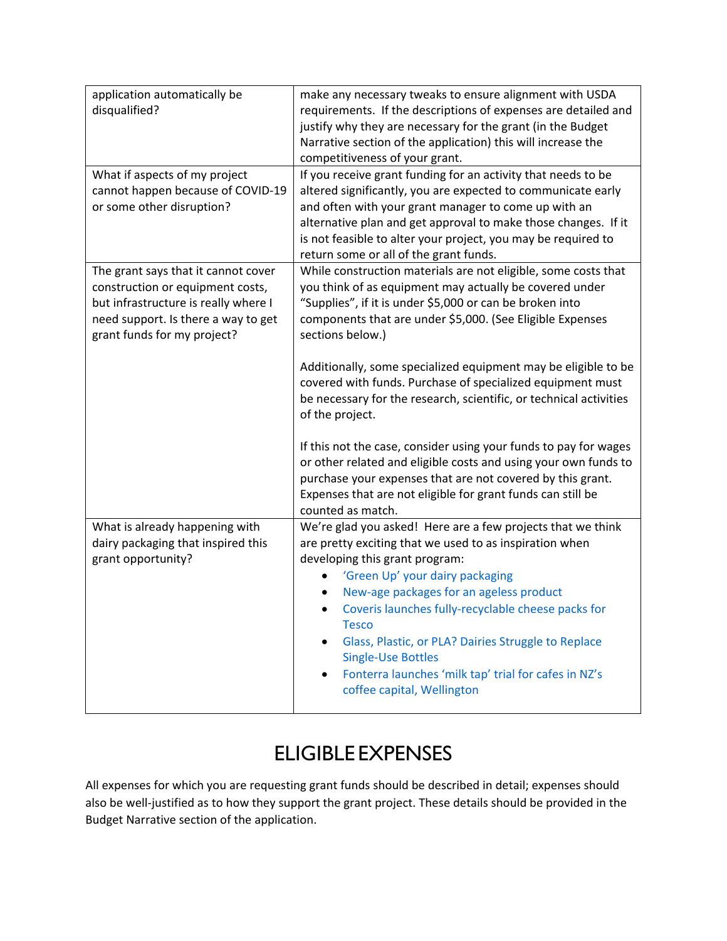| application automatically be<br>disqualified?<br>What if aspects of my project<br>cannot happen because of COVID-19<br>or some other disruption?                                      | make any necessary tweaks to ensure alignment with USDA<br>requirements. If the descriptions of expenses are detailed and<br>justify why they are necessary for the grant (in the Budget<br>Narrative section of the application) this will increase the<br>competitiveness of your grant.<br>If you receive grant funding for an activity that needs to be<br>altered significantly, you are expected to communicate early<br>and often with your grant manager to come up with an<br>alternative plan and get approval to make those changes. If it<br>is not feasible to alter your project, you may be required to                                                                                                                                              |  |  |
|---------------------------------------------------------------------------------------------------------------------------------------------------------------------------------------|---------------------------------------------------------------------------------------------------------------------------------------------------------------------------------------------------------------------------------------------------------------------------------------------------------------------------------------------------------------------------------------------------------------------------------------------------------------------------------------------------------------------------------------------------------------------------------------------------------------------------------------------------------------------------------------------------------------------------------------------------------------------|--|--|
|                                                                                                                                                                                       | return some or all of the grant funds.                                                                                                                                                                                                                                                                                                                                                                                                                                                                                                                                                                                                                                                                                                                              |  |  |
| The grant says that it cannot cover<br>construction or equipment costs,<br>but infrastructure is really where I<br>need support. Is there a way to get<br>grant funds for my project? | While construction materials are not eligible, some costs that<br>you think of as equipment may actually be covered under<br>"Supplies", if it is under \$5,000 or can be broken into<br>components that are under \$5,000. (See Eligible Expenses<br>sections below.)<br>Additionally, some specialized equipment may be eligible to be<br>covered with funds. Purchase of specialized equipment must<br>be necessary for the research, scientific, or technical activities<br>of the project.<br>If this not the case, consider using your funds to pay for wages<br>or other related and eligible costs and using your own funds to<br>purchase your expenses that are not covered by this grant.<br>Expenses that are not eligible for grant funds can still be |  |  |
| What is already happening with                                                                                                                                                        | counted as match.<br>We're glad you asked! Here are a few projects that we think                                                                                                                                                                                                                                                                                                                                                                                                                                                                                                                                                                                                                                                                                    |  |  |
| dairy packaging that inspired this<br>grant opportunity?                                                                                                                              | are pretty exciting that we used to as inspiration when<br>developing this grant program:<br>'Green Up' your dairy packaging<br>New-age packages for an ageless product<br>Coveris launches fully-recyclable cheese packs for<br>٠<br><b>Tesco</b><br>Glass, Plastic, or PLA? Dairies Struggle to Replace<br><b>Single-Use Bottles</b><br>Fonterra launches 'milk tap' trial for cafes in NZ's<br>coffee capital, Wellington                                                                                                                                                                                                                                                                                                                                        |  |  |

## ELIGIBLE EXPENSES

All expenses for which you are requesting grant funds should be described in detail; expenses should also be well-justified as to how they support the grant project. These details should be provided in the Budget Narrative section of the application.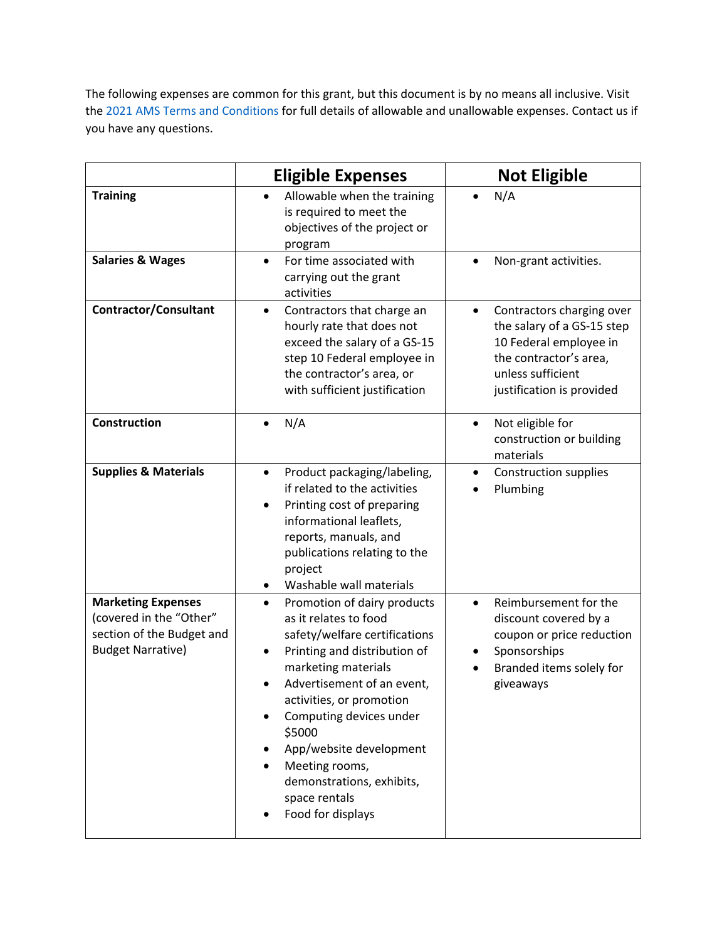The following expenses are common for this grant, but this document is by no means all inclusive. Visit the 2021 [AMS Terms and Conditions](https://www.ams.usda.gov/sites/default/files/media/FY2021_GD_TermsandConditions.pdf) for full details of allowable and unallowable expenses. Contact us if you have any questions.

|                                                                                                               | <b>Eligible Expenses</b>                                                                                                                                                                                                                                                                                                                                                 | <b>Not Eligible</b>                                                                                                                                                        |
|---------------------------------------------------------------------------------------------------------------|--------------------------------------------------------------------------------------------------------------------------------------------------------------------------------------------------------------------------------------------------------------------------------------------------------------------------------------------------------------------------|----------------------------------------------------------------------------------------------------------------------------------------------------------------------------|
| <b>Training</b>                                                                                               | Allowable when the training<br>$\bullet$<br>is required to meet the<br>objectives of the project or<br>program                                                                                                                                                                                                                                                           | N/A<br>$\bullet$                                                                                                                                                           |
| <b>Salaries &amp; Wages</b>                                                                                   | For time associated with<br>$\bullet$<br>carrying out the grant<br>activities                                                                                                                                                                                                                                                                                            | Non-grant activities.                                                                                                                                                      |
| <b>Contractor/Consultant</b>                                                                                  | Contractors that charge an<br>$\bullet$<br>hourly rate that does not<br>exceed the salary of a GS-15<br>step 10 Federal employee in<br>the contractor's area, or<br>with sufficient justification                                                                                                                                                                        | Contractors charging over<br>$\bullet$<br>the salary of a GS-15 step<br>10 Federal employee in<br>the contractor's area,<br>unless sufficient<br>justification is provided |
| <b>Construction</b>                                                                                           | N/A<br>$\bullet$                                                                                                                                                                                                                                                                                                                                                         | Not eligible for<br>$\bullet$<br>construction or building<br>materials                                                                                                     |
| <b>Supplies &amp; Materials</b>                                                                               | Product packaging/labeling,<br>$\bullet$<br>if related to the activities<br>Printing cost of preparing<br>٠<br>informational leaflets,<br>reports, manuals, and<br>publications relating to the<br>project<br>Washable wall materials<br>٠                                                                                                                               | <b>Construction supplies</b><br>$\bullet$<br>Plumbing                                                                                                                      |
| <b>Marketing Expenses</b><br>(covered in the "Other"<br>section of the Budget and<br><b>Budget Narrative)</b> | Promotion of dairy products<br>$\bullet$<br>as it relates to food<br>safety/welfare certifications<br>Printing and distribution of<br>marketing materials<br>Advertisement of an event,<br>activities, or promotion<br>Computing devices under<br>\$5000<br>App/website development<br>Meeting rooms,<br>demonstrations, exhibits,<br>space rentals<br>Food for displays | Reimbursement for the<br>$\bullet$<br>discount covered by a<br>coupon or price reduction<br>Sponsorships<br>Branded items solely for<br>giveaways                          |